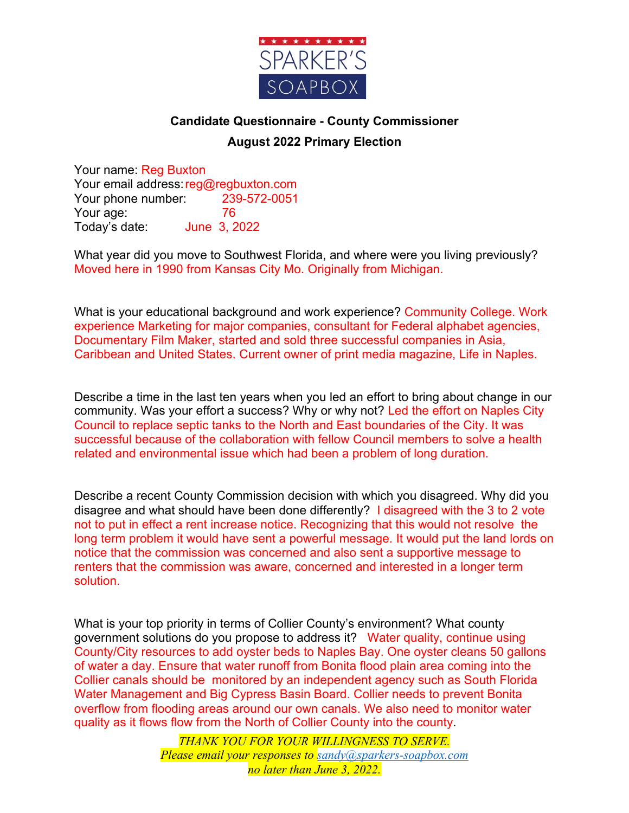

## **Candidate Questionnaire - County Commissioner August 2022 Primary Election**

Your name: Reg Buxton Your email address: reg@regbuxton.com Your phone number: 239-572-0051 Your age: 76 Today's date: June 3, 2022

What year did you move to Southwest Florida, and where were you living previously? Moved here in 1990 from Kansas City Mo. Originally from Michigan.

What is your educational background and work experience? Community College. Work experience Marketing for major companies, consultant for Federal alphabet agencies, Documentary Film Maker, started and sold three successful companies in Asia, Caribbean and United States. Current owner of print media magazine, Life in Naples.

Describe a time in the last ten years when you led an effort to bring about change in our community. Was your effort a success? Why or why not? Led the effort on Naples City Council to replace septic tanks to the North and East boundaries of the City. It was successful because of the collaboration with fellow Council members to solve a health related and environmental issue which had been a problem of long duration.

Describe a recent County Commission decision with which you disagreed. Why did you disagree and what should have been done differently? I disagreed with the 3 to 2 vote not to put in effect a rent increase notice. Recognizing that this would not resolve the long term problem it would have sent a powerful message. It would put the land lords on notice that the commission was concerned and also sent a supportive message to renters that the commission was aware, concerned and interested in a longer term solution.

What is your top priority in terms of Collier County's environment? What county government solutions do you propose to address it? Water quality, continue using County/City resources to add oyster beds to Naples Bay. One oyster cleans 50 gallons of water a day. Ensure that water runoff from Bonita flood plain area coming into the Collier canals should be monitored by an independent agency such as South Florida Water Management and Big Cypress Basin Board. Collier needs to prevent Bonita overflow from flooding areas around our own canals. We also need to monitor water quality as it flows flow from the North of Collier County into the county.

> *THANK YOU FOR YOUR WILLINGNESS TO SERVE. Please email your responses to sandy@sparkers-soapbox.com no later than June 3, 2022.*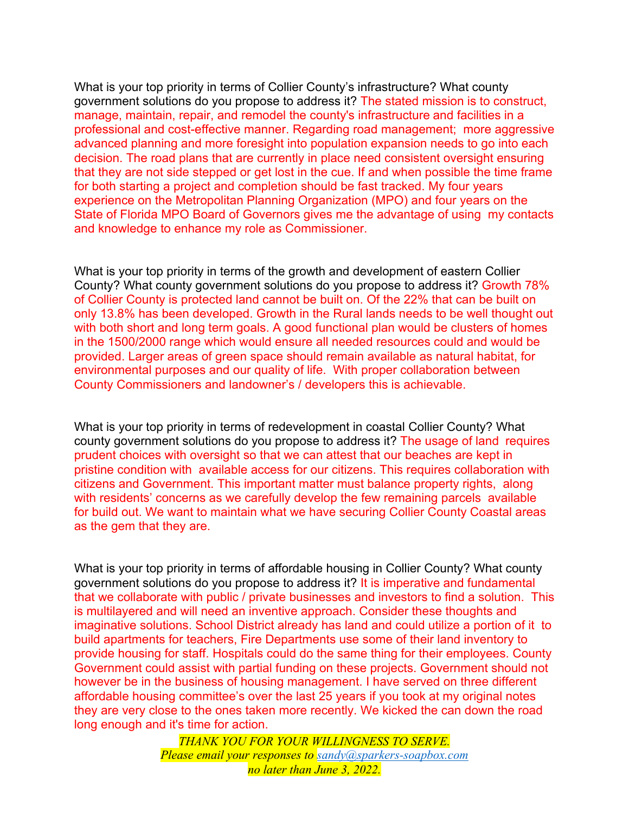What is your top priority in terms of Collier County's infrastructure? What county government solutions do you propose to address it? The stated mission is to construct, manage, maintain, repair, and remodel the county's infrastructure and facilities in a professional and cost-effective manner. Regarding road management; more aggressive advanced planning and more foresight into population expansion needs to go into each decision. The road plans that are currently in place need consistent oversight ensuring that they are not side stepped or get lost in the cue. If and when possible the time frame for both starting a project and completion should be fast tracked. My four years experience on the Metropolitan Planning Organization (MPO) and four years on the State of Florida MPO Board of Governors gives me the advantage of using my contacts and knowledge to enhance my role as Commissioner.

What is your top priority in terms of the growth and development of eastern Collier County? What county government solutions do you propose to address it? Growth 78% of Collier County is protected land cannot be built on. Of the 22% that can be built on only 13.8% has been developed. Growth in the Rural lands needs to be well thought out with both short and long term goals. A good functional plan would be clusters of homes in the 1500/2000 range which would ensure all needed resources could and would be provided. Larger areas of green space should remain available as natural habitat, for environmental purposes and our quality of life. With proper collaboration between County Commissioners and landowner's / developers this is achievable.

What is your top priority in terms of redevelopment in coastal Collier County? What county government solutions do you propose to address it? The usage of land requires prudent choices with oversight so that we can attest that our beaches are kept in pristine condition with available access for our citizens. This requires collaboration with citizens and Government. This important matter must balance property rights, along with residents' concerns as we carefully develop the few remaining parcels available for build out. We want to maintain what we have securing Collier County Coastal areas as the gem that they are.

What is your top priority in terms of affordable housing in Collier County? What county government solutions do you propose to address it? It is imperative and fundamental that we collaborate with public / private businesses and investors to find a solution. This is multilayered and will need an inventive approach. Consider these thoughts and imaginative solutions. School District already has land and could utilize a portion of it to build apartments for teachers, Fire Departments use some of their land inventory to provide housing for staff. Hospitals could do the same thing for their employees. County Government could assist with partial funding on these projects. Government should not however be in the business of housing management. I have served on three different affordable housing committee's over the last 25 years if you took at my original notes they are very close to the ones taken more recently. We kicked the can down the road long enough and it's time for action.

> *THANK YOU FOR YOUR WILLINGNESS TO SERVE. Please email your responses to sandy@sparkers-soapbox.com no later than June 3, 2022.*